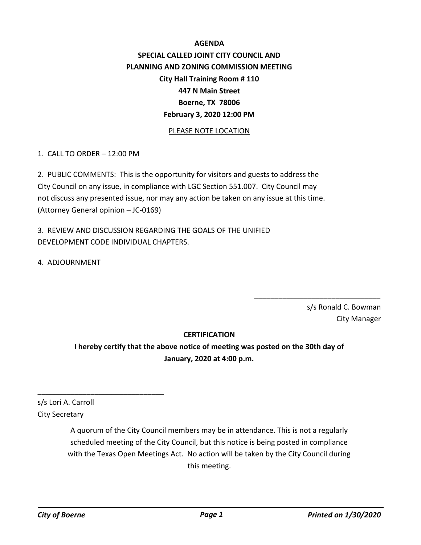# **AGENDA SPECIAL CALLED JOINT CITY COUNCIL AND PLANNING AND ZONING COMMISSION MEETING City Hall Training Room # 110 447 N Main Street Boerne, TX 78006 February 3, 2020 12:00 PM**

#### PLEASE NOTE LOCATION

1. CALL TO ORDER – 12:00 PM

2. PUBLIC COMMENTS: This is the opportunity for visitors and guests to address the City Council on any issue, in compliance with LGC Section 551.007. City Council may not discuss any presented issue, nor may any action be taken on any issue at this time. (Attorney General opinion – JC-0169)

3. REVIEW AND DISCUSSION REGARDING THE GOALS OF THE UNIFIED DEVELOPMENT CODE INDIVIDUAL CHAPTERS.

4. ADJOURNMENT

s/s Ronald C. Bowman City Manager

\_\_\_\_\_\_\_\_\_\_\_\_\_\_\_\_\_\_\_\_\_\_\_\_\_\_\_\_\_\_\_

### **CERTIFICATION**

**I hereby certify that the above notice of meeting was posted on the 30th day of January, 2020 at 4:00 p.m.**

s/s Lori A. Carroll City Secretary

\_\_\_\_\_\_\_\_\_\_\_\_\_\_\_\_\_\_\_\_\_\_\_\_\_\_\_\_\_\_\_

A quorum of the City Council members may be in attendance. This is not a regularly scheduled meeting of the City Council, but this notice is being posted in compliance with the Texas Open Meetings Act. No action will be taken by the City Council during this meeting.